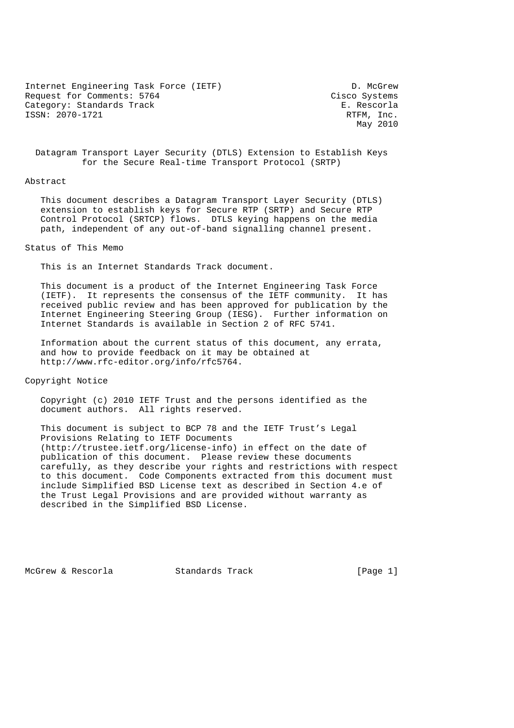Internet Engineering Task Force (IETF) D. McGrew Request for Comments: 5764 Cisco Systems Category: Standards Track E. Rescorla ISSN: 2070-1721 RTFM, Inc.

May 2010

 Datagram Transport Layer Security (DTLS) Extension to Establish Keys for the Secure Real-time Transport Protocol (SRTP)

#### Abstract

 This document describes a Datagram Transport Layer Security (DTLS) extension to establish keys for Secure RTP (SRTP) and Secure RTP Control Protocol (SRTCP) flows. DTLS keying happens on the media path, independent of any out-of-band signalling channel present.

## Status of This Memo

This is an Internet Standards Track document.

 This document is a product of the Internet Engineering Task Force (IETF). It represents the consensus of the IETF community. It has received public review and has been approved for publication by the Internet Engineering Steering Group (IESG). Further information on Internet Standards is available in Section 2 of RFC 5741.

 Information about the current status of this document, any errata, and how to provide feedback on it may be obtained at http://www.rfc-editor.org/info/rfc5764.

Copyright Notice

 Copyright (c) 2010 IETF Trust and the persons identified as the document authors. All rights reserved.

 This document is subject to BCP 78 and the IETF Trust's Legal Provisions Relating to IETF Documents (http://trustee.ietf.org/license-info) in effect on the date of publication of this document. Please review these documents carefully, as they describe your rights and restrictions with respect to this document. Code Components extracted from this document must include Simplified BSD License text as described in Section 4.e of the Trust Legal Provisions and are provided without warranty as described in the Simplified BSD License.

McGrew & Rescorla Standards Track [Page 1]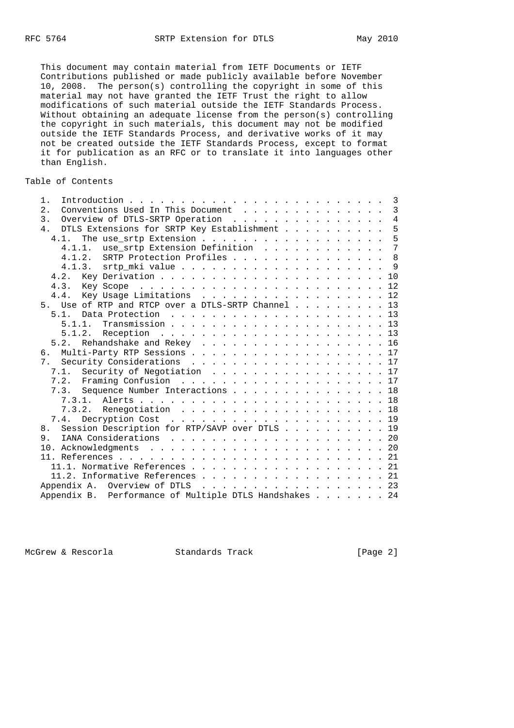This document may contain material from IETF Documents or IETF Contributions published or made publicly available before November 10, 2008. The person(s) controlling the copyright in some of this material may not have granted the IETF Trust the right to allow modifications of such material outside the IETF Standards Process. Without obtaining an adequate license from the person(s) controlling the copyright in such materials, this document may not be modified outside the IETF Standards Process, and derivative works of it may not be created outside the IETF Standards Process, except to format it for publication as an RFC or to translate it into languages other than English.

#### Table of Contents

| $1$ .                                                        |  |  |  |  | $\overline{\phantom{a}}$ |
|--------------------------------------------------------------|--|--|--|--|--------------------------|
| Conventions Used In This Document<br>2.                      |  |  |  |  | $\overline{3}$           |
| 3.<br>Overview of DTLS-SRTP Operation                        |  |  |  |  | $\overline{4}$           |
| DTLS Extensions for SRTP Key Establishment<br>4 <sub>1</sub> |  |  |  |  | 5                        |
| 4.1.                                                         |  |  |  |  | 5                        |
| 4.1.1. use_srtp Extension Definition                         |  |  |  |  | $\overline{7}$           |
| 4.1.2. SRTP Protection Profiles 8                            |  |  |  |  |                          |
|                                                              |  |  |  |  |                          |
|                                                              |  |  |  |  |                          |
|                                                              |  |  |  |  |                          |
| Key Usage Limitations 12<br>4.4.                             |  |  |  |  |                          |
| 5. Use of RTP and RTCP over a DTLS-SRTP Channel 13           |  |  |  |  |                          |
| 5.1.                                                         |  |  |  |  |                          |
|                                                              |  |  |  |  |                          |
|                                                              |  |  |  |  |                          |
| 5.2. Rehandshake and Rekey 16                                |  |  |  |  |                          |
| Multi-Party RTP Sessions 17<br>б.                            |  |  |  |  |                          |
| 7. Security Considerations 17                                |  |  |  |  |                          |
| 7.1. Security of Negotiation 17                              |  |  |  |  |                          |
|                                                              |  |  |  |  |                          |
| 7.3. Sequence Number Interactions 18                         |  |  |  |  |                          |
|                                                              |  |  |  |  |                          |
| 7.3.2. Renegotiation 18                                      |  |  |  |  |                          |
|                                                              |  |  |  |  |                          |
| Session Description for RTP/SAVP over DTLS 19<br>8.          |  |  |  |  |                          |
| 9.                                                           |  |  |  |  |                          |
|                                                              |  |  |  |  |                          |
|                                                              |  |  |  |  |                          |
| 11.1. Normative References 21                                |  |  |  |  |                          |
| 11.2. Informative References 21                              |  |  |  |  |                          |
| Appendix A. Overview of DTLS $\ldots$ , 23                   |  |  |  |  |                          |
| Appendix B. Performance of Multiple DTLS Handshakes 24       |  |  |  |  |                          |

McGrew & Rescorla Standards Track [Page 2]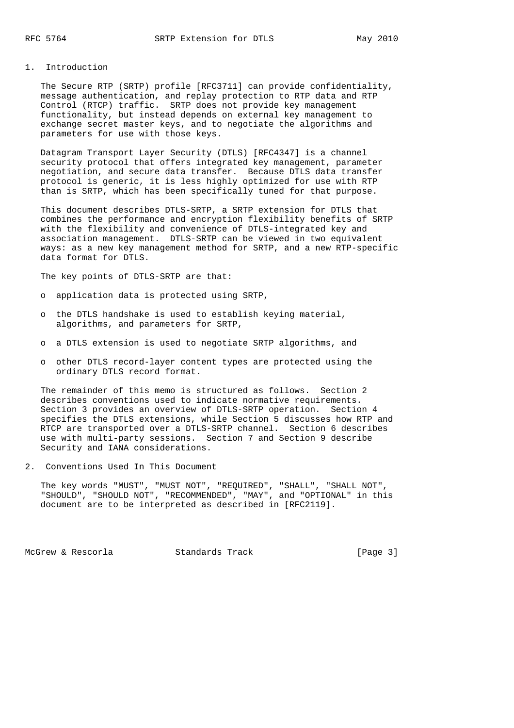## 1. Introduction

 The Secure RTP (SRTP) profile [RFC3711] can provide confidentiality, message authentication, and replay protection to RTP data and RTP Control (RTCP) traffic. SRTP does not provide key management functionality, but instead depends on external key management to exchange secret master keys, and to negotiate the algorithms and parameters for use with those keys.

 Datagram Transport Layer Security (DTLS) [RFC4347] is a channel security protocol that offers integrated key management, parameter negotiation, and secure data transfer. Because DTLS data transfer protocol is generic, it is less highly optimized for use with RTP than is SRTP, which has been specifically tuned for that purpose.

 This document describes DTLS-SRTP, a SRTP extension for DTLS that combines the performance and encryption flexibility benefits of SRTP with the flexibility and convenience of DTLS-integrated key and association management. DTLS-SRTP can be viewed in two equivalent ways: as a new key management method for SRTP, and a new RTP-specific data format for DTLS.

The key points of DTLS-SRTP are that:

- o application data is protected using SRTP,
- o the DTLS handshake is used to establish keying material, algorithms, and parameters for SRTP,
- o a DTLS extension is used to negotiate SRTP algorithms, and
- o other DTLS record-layer content types are protected using the ordinary DTLS record format.

 The remainder of this memo is structured as follows. Section 2 describes conventions used to indicate normative requirements. Section 3 provides an overview of DTLS-SRTP operation. Section 4 specifies the DTLS extensions, while Section 5 discusses how RTP and RTCP are transported over a DTLS-SRTP channel. Section 6 describes use with multi-party sessions. Section 7 and Section 9 describe Security and IANA considerations.

2. Conventions Used In This Document

 The key words "MUST", "MUST NOT", "REQUIRED", "SHALL", "SHALL NOT", "SHOULD", "SHOULD NOT", "RECOMMENDED", "MAY", and "OPTIONAL" in this document are to be interpreted as described in [RFC2119].

McGrew & Rescorla Standards Track [Page 3]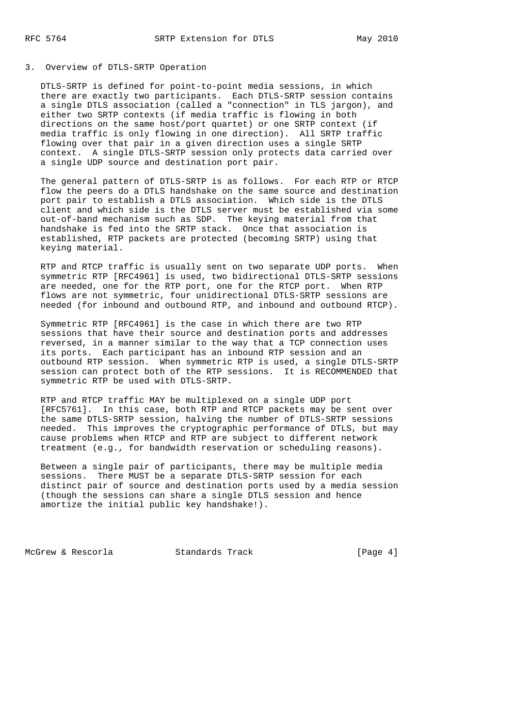## 3. Overview of DTLS-SRTP Operation

 DTLS-SRTP is defined for point-to-point media sessions, in which there are exactly two participants. Each DTLS-SRTP session contains a single DTLS association (called a "connection" in TLS jargon), and either two SRTP contexts (if media traffic is flowing in both directions on the same host/port quartet) or one SRTP context (if media traffic is only flowing in one direction). All SRTP traffic flowing over that pair in a given direction uses a single SRTP context. A single DTLS-SRTP session only protects data carried over a single UDP source and destination port pair.

 The general pattern of DTLS-SRTP is as follows. For each RTP or RTCP flow the peers do a DTLS handshake on the same source and destination port pair to establish a DTLS association. Which side is the DTLS client and which side is the DTLS server must be established via some out-of-band mechanism such as SDP. The keying material from that handshake is fed into the SRTP stack. Once that association is established, RTP packets are protected (becoming SRTP) using that keying material.

 RTP and RTCP traffic is usually sent on two separate UDP ports. When symmetric RTP [RFC4961] is used, two bidirectional DTLS-SRTP sessions are needed, one for the RTP port, one for the RTCP port. When RTP flows are not symmetric, four unidirectional DTLS-SRTP sessions are needed (for inbound and outbound RTP, and inbound and outbound RTCP).

 Symmetric RTP [RFC4961] is the case in which there are two RTP sessions that have their source and destination ports and addresses reversed, in a manner similar to the way that a TCP connection uses its ports. Each participant has an inbound RTP session and an outbound RTP session. When symmetric RTP is used, a single DTLS-SRTP session can protect both of the RTP sessions. It is RECOMMENDED that symmetric RTP be used with DTLS-SRTP.

 RTP and RTCP traffic MAY be multiplexed on a single UDP port [RFC5761]. In this case, both RTP and RTCP packets may be sent over the same DTLS-SRTP session, halving the number of DTLS-SRTP sessions needed. This improves the cryptographic performance of DTLS, but may cause problems when RTCP and RTP are subject to different network treatment (e.g., for bandwidth reservation or scheduling reasons).

 Between a single pair of participants, there may be multiple media sessions. There MUST be a separate DTLS-SRTP session for each distinct pair of source and destination ports used by a media session (though the sessions can share a single DTLS session and hence amortize the initial public key handshake!).

McGrew & Rescorla Standards Track [Page 4]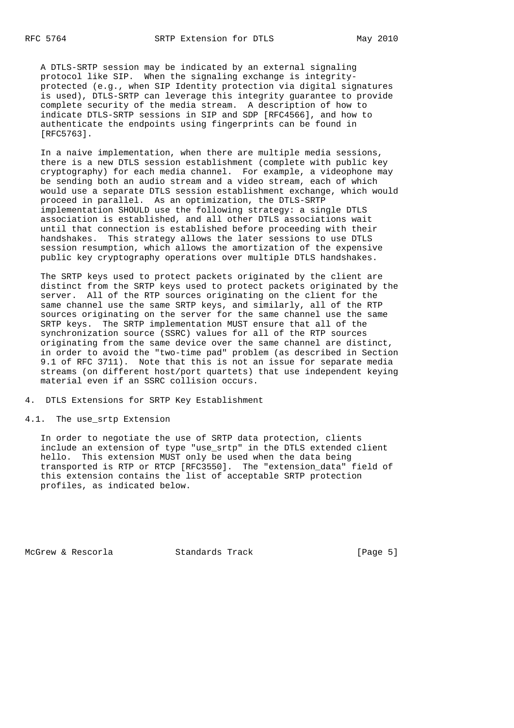A DTLS-SRTP session may be indicated by an external signaling protocol like SIP. When the signaling exchange is integrity protected (e.g., when SIP Identity protection via digital signatures is used), DTLS-SRTP can leverage this integrity guarantee to provide complete security of the media stream. A description of how to indicate DTLS-SRTP sessions in SIP and SDP [RFC4566], and how to authenticate the endpoints using fingerprints can be found in [RFC5763].

 In a naive implementation, when there are multiple media sessions, there is a new DTLS session establishment (complete with public key cryptography) for each media channel. For example, a videophone may be sending both an audio stream and a video stream, each of which would use a separate DTLS session establishment exchange, which would proceed in parallel. As an optimization, the DTLS-SRTP implementation SHOULD use the following strategy: a single DTLS association is established, and all other DTLS associations wait until that connection is established before proceeding with their handshakes. This strategy allows the later sessions to use DTLS session resumption, which allows the amortization of the expensive public key cryptography operations over multiple DTLS handshakes.

 The SRTP keys used to protect packets originated by the client are distinct from the SRTP keys used to protect packets originated by the server. All of the RTP sources originating on the client for the same channel use the same SRTP keys, and similarly, all of the RTP sources originating on the server for the same channel use the same SRTP keys. The SRTP implementation MUST ensure that all of the synchronization source (SSRC) values for all of the RTP sources originating from the same device over the same channel are distinct, in order to avoid the "two-time pad" problem (as described in Section 9.1 of RFC 3711). Note that this is not an issue for separate media streams (on different host/port quartets) that use independent keying material even if an SSRC collision occurs.

4. DTLS Extensions for SRTP Key Establishment

## 4.1. The use\_srtp Extension

 In order to negotiate the use of SRTP data protection, clients include an extension of type "use\_srtp" in the DTLS extended client hello. This extension MUST only be used when the data being transported is RTP or RTCP [RFC3550]. The "extension\_data" field of this extension contains the list of acceptable SRTP protection profiles, as indicated below.

McGrew & Rescorla Standards Track [Page 5]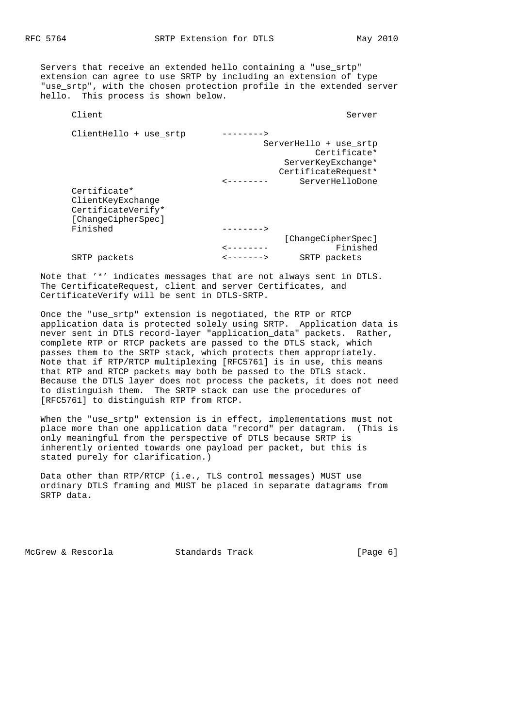Servers that receive an extended hello containing a "use\_srtp" extension can agree to use SRTP by including an extension of type "use srtp", with the chosen protection profile in the extended server hello. This process is shown below.

| Client                 |                        | Server                 |
|------------------------|------------------------|------------------------|
| ClientHello + use srtp | -------->              |                        |
|                        |                        | ServerHello + use srtp |
|                        |                        | Certificate*           |
|                        |                        | ServerKeyExchange*     |
|                        |                        | CertificateRequest*    |
|                        |                        | ServerHelloDone        |
| Certificate*           |                        |                        |
| ClientKeyExchange      |                        |                        |
| CertificateVerify*     |                        |                        |
| [ChangeCipherSpec]     |                        |                        |
| Finished               |                        |                        |
|                        |                        | [ChangeCipherSpec]     |
|                        | -------                | Finished               |
| SRTP packets           | <b>&lt;-------&gt;</b> | SRTP packets           |

 Note that '\*' indicates messages that are not always sent in DTLS. The CertificateRequest, client and server Certificates, and CertificateVerify will be sent in DTLS-SRTP.

 Once the "use\_srtp" extension is negotiated, the RTP or RTCP application data is protected solely using SRTP. Application data is never sent in DTLS record-layer "application\_data" packets. Rather, complete RTP or RTCP packets are passed to the DTLS stack, which passes them to the SRTP stack, which protects them appropriately. Note that if RTP/RTCP multiplexing [RFC5761] is in use, this means that RTP and RTCP packets may both be passed to the DTLS stack. Because the DTLS layer does not process the packets, it does not need to distinguish them. The SRTP stack can use the procedures of [RFC5761] to distinguish RTP from RTCP.

 When the "use\_srtp" extension is in effect, implementations must not place more than one application data "record" per datagram. (This is only meaningful from the perspective of DTLS because SRTP is inherently oriented towards one payload per packet, but this is stated purely for clarification.)

 Data other than RTP/RTCP (i.e., TLS control messages) MUST use ordinary DTLS framing and MUST be placed in separate datagrams from SRTP data.

McGrew & Rescorla Standards Track [Page 6]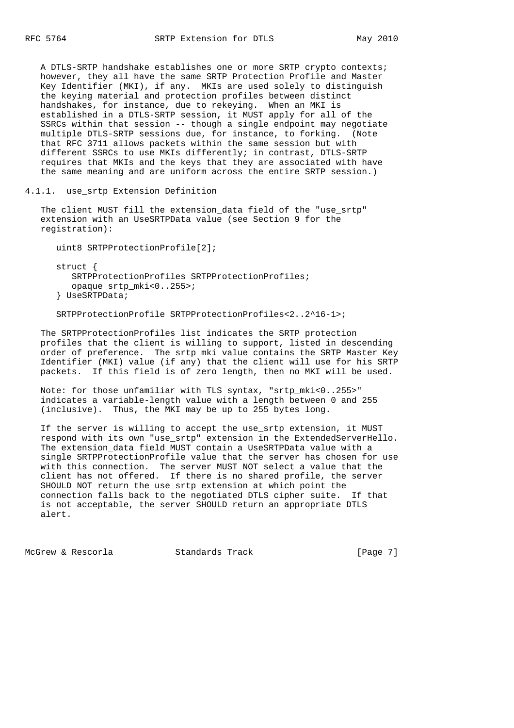A DTLS-SRTP handshake establishes one or more SRTP crypto contexts; however, they all have the same SRTP Protection Profile and Master Key Identifier (MKI), if any. MKIs are used solely to distinguish the keying material and protection profiles between distinct handshakes, for instance, due to rekeying. When an MKI is established in a DTLS-SRTP session, it MUST apply for all of the SSRCs within that session -- though a single endpoint may negotiate multiple DTLS-SRTP sessions due, for instance, to forking. (Note that RFC 3711 allows packets within the same session but with different SSRCs to use MKIs differently; in contrast, DTLS-SRTP requires that MKIs and the keys that they are associated with have the same meaning and are uniform across the entire SRTP session.)

4.1.1. use\_srtp Extension Definition

 The client MUST fill the extension\_data field of the "use\_srtp" extension with an UseSRTPData value (see Section 9 for the registration):

uint8 SRTPProtectionProfile[2];

 struct { SRTPProtectionProfiles SRTPProtectionProfiles; opaque srtp\_mki<0..255>; } UseSRTPData;

SRTPProtectionProfile SRTPProtectionProfiles<2..2^16-1>;

 The SRTPProtectionProfiles list indicates the SRTP protection profiles that the client is willing to support, listed in descending order of preference. The srtp\_mki value contains the SRTP Master Key Identifier (MKI) value (if any) that the client will use for his SRTP packets. If this field is of zero length, then no MKI will be used.

 Note: for those unfamiliar with TLS syntax, "srtp\_mki<0..255>" indicates a variable-length value with a length between 0 and 255 (inclusive). Thus, the MKI may be up to 255 bytes long.

 If the server is willing to accept the use\_srtp extension, it MUST respond with its own "use\_srtp" extension in the ExtendedServerHello. The extension\_data field MUST contain a UseSRTPData value with a single SRTPProtectionProfile value that the server has chosen for use with this connection. The server MUST NOT select a value that the client has not offered. If there is no shared profile, the server SHOULD NOT return the use\_srtp extension at which point the connection falls back to the negotiated DTLS cipher suite. If that is not acceptable, the server SHOULD return an appropriate DTLS alert.

McGrew & Rescorla Standards Track [Page 7]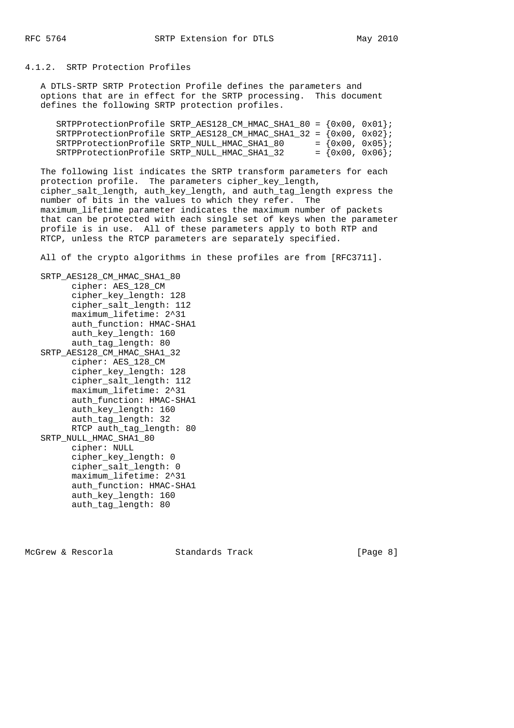4.1.2. SRTP Protection Profiles

 A DTLS-SRTP SRTP Protection Profile defines the parameters and options that are in effect for the SRTP processing. This document defines the following SRTP protection profiles.

| SRTPProtectionProfile SRTP_AES128_CM_HMAC_SHA1_80 = $\{0x00, 0x01\}$ |  |                    |
|----------------------------------------------------------------------|--|--------------------|
| SRTPProtectionProfile SRTP_AES128_CM_HMAC_SHA1_32 = $\{0x00, 0x02\}$ |  |                    |
| SRTPProtectionProfile SRTP NULL HMAC SHA1 80                         |  | $= \{0x00, 0x05\}$ |
| SRTPProtectionProfile SRTP NULL HMAC SHA1 32                         |  | $= \{0x00, 0x06\}$ |

 The following list indicates the SRTP transform parameters for each protection profile. The parameters cipher\_key\_length, cipher\_salt\_length, auth\_key\_length, and auth\_tag\_length express the number of bits in the values to which they refer. The maximum\_lifetime parameter indicates the maximum number of packets that can be protected with each single set of keys when the parameter profile is in use. All of these parameters apply to both RTP and RTCP, unless the RTCP parameters are separately specified.

All of the crypto algorithms in these profiles are from [RFC3711].

 SRTP\_AES128\_CM\_HMAC\_SHA1\_80 cipher: AES\_128\_CM cipher\_key\_length: 128 cipher\_salt\_length: 112 maximum\_lifetime: 2^31 auth\_function: HMAC-SHA1 auth\_key\_length: 160 auth\_tag\_length: 80 SRTP\_AES128\_CM\_HMAC\_SHA1\_32 cipher: AES\_128\_CM cipher\_key\_length: 128 cipher\_salt\_length: 112 maximum\_lifetime: 2^31 auth function: HMAC-SHA1 auth\_key\_length: 160 auth\_tag\_length: 32 RTCP auth\_tag\_length: 80 SRTP\_NULL\_HMAC\_SHA1\_80 cipher: NULL cipher\_key\_length: 0 cipher\_salt\_length: 0 maximum\_lifetime: 2^31 auth\_function: HMAC-SHA1 auth\_key\_length: 160 auth\_tag\_length: 80

McGrew & Rescorla Standards Track [Page 8]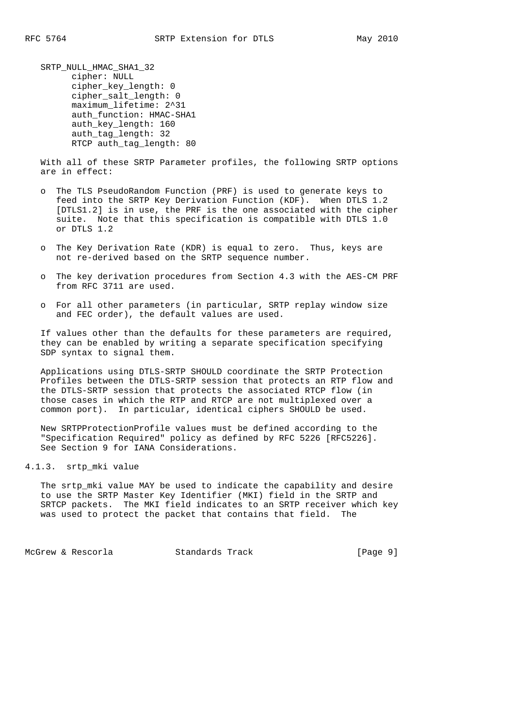SRTP\_NULL\_HMAC\_SHA1\_32 cipher: NULL cipher\_key\_length: 0 cipher\_salt\_length: 0 maximum\_lifetime: 2^31 auth function: HMAC-SHA1 auth\_key\_length: 160 auth\_tag\_length: 32 RTCP auth tag length: 80

 With all of these SRTP Parameter profiles, the following SRTP options are in effect:

- o The TLS PseudoRandom Function (PRF) is used to generate keys to feed into the SRTP Key Derivation Function (KDF). When DTLS 1.2 [DTLS1.2] is in use, the PRF is the one associated with the cipher suite. Note that this specification is compatible with DTLS 1.0 or DTLS 1.2
- o The Key Derivation Rate (KDR) is equal to zero. Thus, keys are not re-derived based on the SRTP sequence number.
- o The key derivation procedures from Section 4.3 with the AES-CM PRF from RFC 3711 are used.
- o For all other parameters (in particular, SRTP replay window size and FEC order), the default values are used.

 If values other than the defaults for these parameters are required, they can be enabled by writing a separate specification specifying SDP syntax to signal them.

 Applications using DTLS-SRTP SHOULD coordinate the SRTP Protection Profiles between the DTLS-SRTP session that protects an RTP flow and the DTLS-SRTP session that protects the associated RTCP flow (in those cases in which the RTP and RTCP are not multiplexed over a common port). In particular, identical ciphers SHOULD be used.

 New SRTPProtectionProfile values must be defined according to the "Specification Required" policy as defined by RFC 5226 [RFC5226]. See Section 9 for IANA Considerations.

4.1.3. srtp\_mki value

 The srtp\_mki value MAY be used to indicate the capability and desire to use the SRTP Master Key Identifier (MKI) field in the SRTP and SRTCP packets. The MKI field indicates to an SRTP receiver which key was used to protect the packet that contains that field.

McGrew & Rescorla Standards Track [Page 9]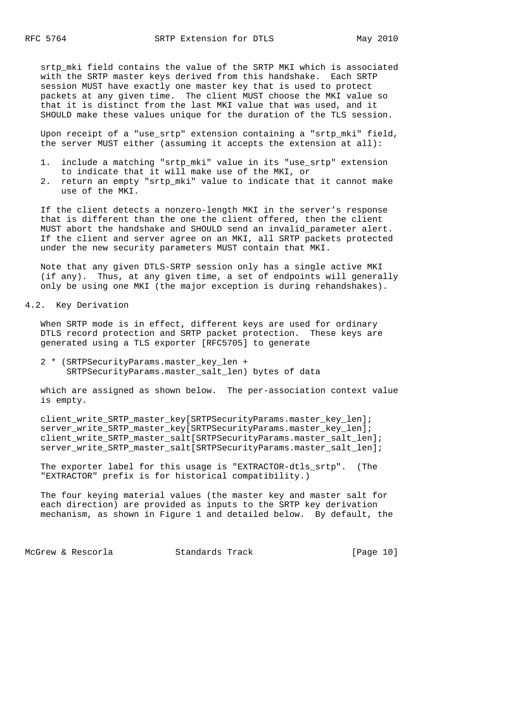srtp\_mki field contains the value of the SRTP MKI which is associated with the SRTP master keys derived from this handshake. Each SRTP session MUST have exactly one master key that is used to protect packets at any given time. The client MUST choose the MKI value so that it is distinct from the last MKI value that was used, and it SHOULD make these values unique for the duration of the TLS session.

 Upon receipt of a "use\_srtp" extension containing a "srtp\_mki" field, the server MUST either (assuming it accepts the extension at all):

- 1. include a matching "srtp\_mki" value in its "use\_srtp" extension to indicate that it will make use of the MKI, or
- 2. return an empty "srtp\_mki" value to indicate that it cannot make use of the MKI.

 If the client detects a nonzero-length MKI in the server's response that is different than the one the client offered, then the client MUST abort the handshake and SHOULD send an invalid\_parameter alert. If the client and server agree on an MKI, all SRTP packets protected under the new security parameters MUST contain that MKI.

 Note that any given DTLS-SRTP session only has a single active MKI (if any). Thus, at any given time, a set of endpoints will generally only be using one MKI (the major exception is during rehandshakes).

4.2. Key Derivation

 When SRTP mode is in effect, different keys are used for ordinary DTLS record protection and SRTP packet protection. These keys are generated using a TLS exporter [RFC5705] to generate

 2 \* (SRTPSecurityParams.master\_key\_len + SRTPSecurityParams.master\_salt\_len) bytes of data

 which are assigned as shown below. The per-association context value is empty.

 client\_write\_SRTP\_master\_key[SRTPSecurityParams.master\_key\_len]; server\_write\_SRTP\_master\_key[SRTPSecurityParams.master\_key\_len]; client\_write\_SRTP\_master\_salt[SRTPSecurityParams.master\_salt\_len]; server\_write\_SRTP\_master\_salt[SRTPSecurityParams.master\_salt\_len];

 The exporter label for this usage is "EXTRACTOR-dtls\_srtp". (The "EXTRACTOR" prefix is for historical compatibility.)

 The four keying material values (the master key and master salt for each direction) are provided as inputs to the SRTP key derivation mechanism, as shown in Figure 1 and detailed below. By default, the

McGrew & Rescorla Standards Track [Page 10]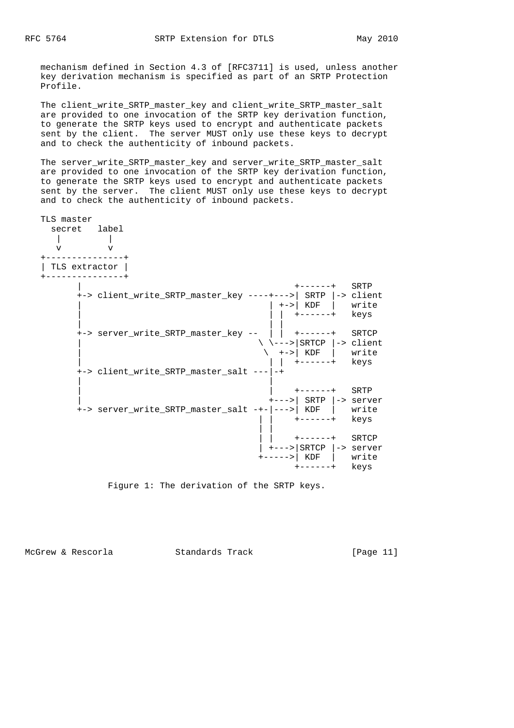mechanism defined in Section 4.3 of [RFC3711] is used, unless another key derivation mechanism is specified as part of an SRTP Protection Profile.

 The client\_write\_SRTP\_master\_key and client\_write\_SRTP\_master\_salt are provided to one invocation of the SRTP key derivation function, to generate the SRTP keys used to encrypt and authenticate packets sent by the client. The server MUST only use these keys to decrypt and to check the authenticity of inbound packets.

 The server\_write\_SRTP\_master\_key and server\_write\_SRTP\_master\_salt are provided to one invocation of the SRTP key derivation function, to generate the SRTP keys used to encrypt and authenticate packets sent by the server. The client MUST only use these keys to decrypt and to check the authenticity of inbound packets.

| TLS master<br>secret label<br>$\overline{V}$ |                                                                                                     |                                                                                                                                                                   |  |
|----------------------------------------------|-----------------------------------------------------------------------------------------------------|-------------------------------------------------------------------------------------------------------------------------------------------------------------------|--|
| TLS extractor                                |                                                                                                     |                                                                                                                                                                   |  |
|                                              | +-> client_write_SRTP_master_key ----+--->  SRTP  -> client                                         | ------+ SRTP<br>+-> KDF write<br>$+---++$ keys                                                                                                                    |  |
|                                              | +-> server_write_SRTP_master_key --     +------+ SRTCP<br>+-> client_write_SRTP_master_salt ---  -+ | $\setminus$ \--->   SRTCP  -> client<br>$\begin{pmatrix} 1 & 1 \\ 1 & -1 \end{pmatrix}$ KDF $\begin{pmatrix} 1 & 1 \\ 1 & 1 \end{pmatrix}$ write<br>+------+ keys |  |
|                                              | +-> server_write_SRTP_master_salt -+- --->  KDF   write                                             | +------+ SRTP<br>$\left  \frac{1}{2} \right $ SRTP $\left  \frac{1}{2} \right $ server<br>$+---++$ keys                                                           |  |
|                                              |                                                                                                     | +------+ SRTCP<br>+--->   SRTCP  -> server<br>+----->  KDF   write<br>+------+ keys                                                                               |  |

Figure 1: The derivation of the SRTP keys.

McGrew & Rescorla Standards Track [Page 11]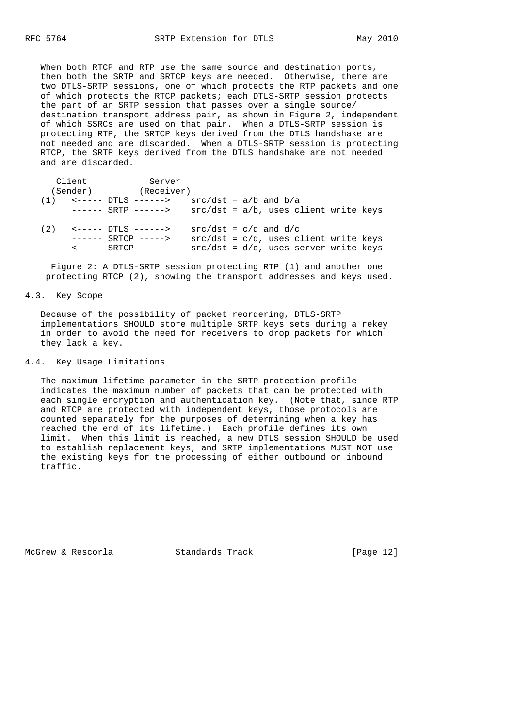When both RTCP and RTP use the same source and destination ports, then both the SRTP and SRTCP keys are needed. Otherwise, there are two DTLS-SRTP sessions, one of which protects the RTP packets and one of which protects the RTCP packets; each DTLS-SRTP session protects the part of an SRTP session that passes over a single source/ destination transport address pair, as shown in Figure 2, independent of which SSRCs are used on that pair. When a DTLS-SRTP session is protecting RTP, the SRTCP keys derived from the DTLS handshake are not needed and are discarded. When a DTLS-SRTP session is protecting RTCP, the SRTP keys derived from the DTLS handshake are not needed and are discarded.

|     | Client   | Server                          |                                          |  |  |  |
|-----|----------|---------------------------------|------------------------------------------|--|--|--|
|     | (Sender) | (Receiver)                      |                                          |  |  |  |
|     |          |                                 | $src/dst = a/b$ and $b/a$                |  |  |  |
|     |          | ------ SRTP ------>             | $src/dst = a/b$ , uses client write keys |  |  |  |
| (2) |          | - <----- DTLS ------>           | $src/dst = c/d$ and $d/c$                |  |  |  |
|     |          | $--- - $ SRTCP $---$            | $src/dst = c/d$ , uses client write keys |  |  |  |
|     |          | $\leftarrow$ ----- SRTCP ------ | $src/dst = d/c$ , uses server write keys |  |  |  |

 Figure 2: A DTLS-SRTP session protecting RTP (1) and another one protecting RTCP (2), showing the transport addresses and keys used.

#### 4.3. Key Scope

 Because of the possibility of packet reordering, DTLS-SRTP implementations SHOULD store multiple SRTP keys sets during a rekey in order to avoid the need for receivers to drop packets for which they lack a key.

# 4.4. Key Usage Limitations

 The maximum\_lifetime parameter in the SRTP protection profile indicates the maximum number of packets that can be protected with each single encryption and authentication key. (Note that, since RTP and RTCP are protected with independent keys, those protocols are counted separately for the purposes of determining when a key has reached the end of its lifetime.) Each profile defines its own limit. When this limit is reached, a new DTLS session SHOULD be used to establish replacement keys, and SRTP implementations MUST NOT use the existing keys for the processing of either outbound or inbound traffic.

McGrew & Rescorla Standards Track [Page 12]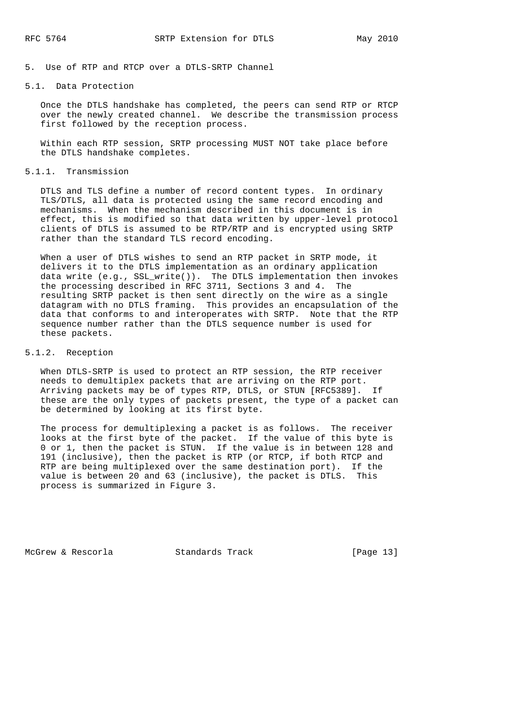5. Use of RTP and RTCP over a DTLS-SRTP Channel

## 5.1. Data Protection

 Once the DTLS handshake has completed, the peers can send RTP or RTCP over the newly created channel. We describe the transmission process first followed by the reception process.

 Within each RTP session, SRTP processing MUST NOT take place before the DTLS handshake completes.

#### 5.1.1. Transmission

 DTLS and TLS define a number of record content types. In ordinary TLS/DTLS, all data is protected using the same record encoding and mechanisms. When the mechanism described in this document is in effect, this is modified so that data written by upper-level protocol clients of DTLS is assumed to be RTP/RTP and is encrypted using SRTP rather than the standard TLS record encoding.

 When a user of DTLS wishes to send an RTP packet in SRTP mode, it delivers it to the DTLS implementation as an ordinary application data write (e.g., SSL\_write()). The DTLS implementation then invokes the processing described in RFC 3711, Sections 3 and 4. The resulting SRTP packet is then sent directly on the wire as a single datagram with no DTLS framing. This provides an encapsulation of the data that conforms to and interoperates with SRTP. Note that the RTP sequence number rather than the DTLS sequence number is used for these packets.

#### 5.1.2. Reception

 When DTLS-SRTP is used to protect an RTP session, the RTP receiver needs to demultiplex packets that are arriving on the RTP port. Arriving packets may be of types RTP, DTLS, or STUN [RFC5389]. If these are the only types of packets present, the type of a packet can be determined by looking at its first byte.

 The process for demultiplexing a packet is as follows. The receiver looks at the first byte of the packet. If the value of this byte is 0 or 1, then the packet is STUN. If the value is in between 128 and 191 (inclusive), then the packet is RTP (or RTCP, if both RTCP and RTP are being multiplexed over the same destination port). If the value is between 20 and 63 (inclusive), the packet is DTLS. This process is summarized in Figure 3.

McGrew & Rescorla Standards Track [Page 13]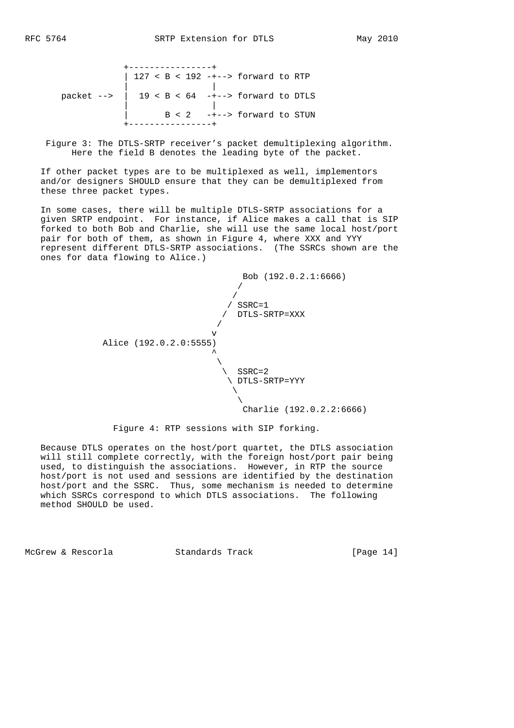|                                                      |  |  |  | 127 < B < 192 -+--> forward to RTP |  |
|------------------------------------------------------|--|--|--|------------------------------------|--|
| packet --> $\vert$ 19 < B < 64 -+--> forward to DTLS |  |  |  |                                    |  |
|                                                      |  |  |  | $B < 2$ -+--> forward to STUN      |  |

 Figure 3: The DTLS-SRTP receiver's packet demultiplexing algorithm. Here the field B denotes the leading byte of the packet.

 If other packet types are to be multiplexed as well, implementors and/or designers SHOULD ensure that they can be demultiplexed from these three packet types.

 In some cases, there will be multiple DTLS-SRTP associations for a given SRTP endpoint. For instance, if Alice makes a call that is SIP forked to both Bob and Charlie, she will use the same local host/port pair for both of them, as shown in Figure 4, where XXX and YYY represent different DTLS-SRTP associations. (The SSRCs shown are the ones for data flowing to Alice.)



Figure 4: RTP sessions with SIP forking.

 Because DTLS operates on the host/port quartet, the DTLS association will still complete correctly, with the foreign host/port pair being used, to distinguish the associations. However, in RTP the source host/port is not used and sessions are identified by the destination host/port and the SSRC. Thus, some mechanism is needed to determine which SSRCs correspond to which DTLS associations. The following method SHOULD be used.

McGrew & Rescorla Standards Track [Page 14]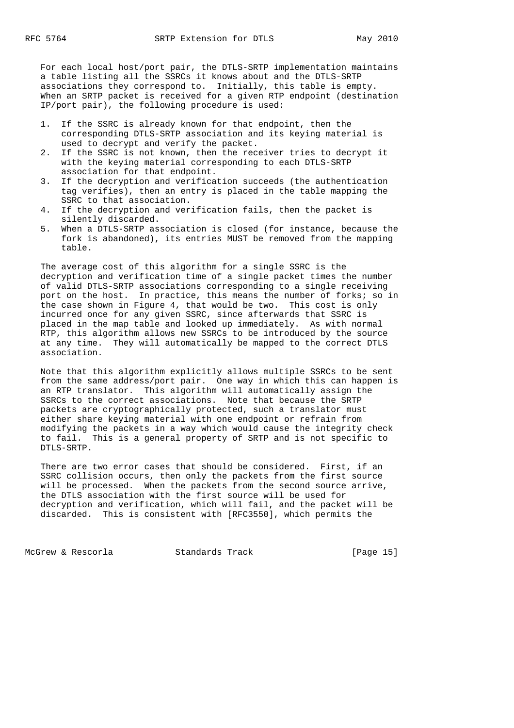For each local host/port pair, the DTLS-SRTP implementation maintains a table listing all the SSRCs it knows about and the DTLS-SRTP associations they correspond to. Initially, this table is empty. When an SRTP packet is received for a given RTP endpoint (destination IP/port pair), the following procedure is used:

- 1. If the SSRC is already known for that endpoint, then the corresponding DTLS-SRTP association and its keying material is used to decrypt and verify the packet.
- 2. If the SSRC is not known, then the receiver tries to decrypt it with the keying material corresponding to each DTLS-SRTP association for that endpoint.
- 3. If the decryption and verification succeeds (the authentication tag verifies), then an entry is placed in the table mapping the SSRC to that association.
- 4. If the decryption and verification fails, then the packet is silently discarded.
- 5. When a DTLS-SRTP association is closed (for instance, because the fork is abandoned), its entries MUST be removed from the mapping table.

 The average cost of this algorithm for a single SSRC is the decryption and verification time of a single packet times the number of valid DTLS-SRTP associations corresponding to a single receiving port on the host. In practice, this means the number of forks; so in the case shown in Figure 4, that would be two. This cost is only incurred once for any given SSRC, since afterwards that SSRC is placed in the map table and looked up immediately. As with normal RTP, this algorithm allows new SSRCs to be introduced by the source at any time. They will automatically be mapped to the correct DTLS association.

 Note that this algorithm explicitly allows multiple SSRCs to be sent from the same address/port pair. One way in which this can happen is an RTP translator. This algorithm will automatically assign the SSRCs to the correct associations. Note that because the SRTP packets are cryptographically protected, such a translator must either share keying material with one endpoint or refrain from modifying the packets in a way which would cause the integrity check to fail. This is a general property of SRTP and is not specific to DTLS-SRTP.

 There are two error cases that should be considered. First, if an SSRC collision occurs, then only the packets from the first source will be processed. When the packets from the second source arrive, the DTLS association with the first source will be used for decryption and verification, which will fail, and the packet will be discarded. This is consistent with [RFC3550], which permits the

McGrew & Rescorla Standards Track [Page 15]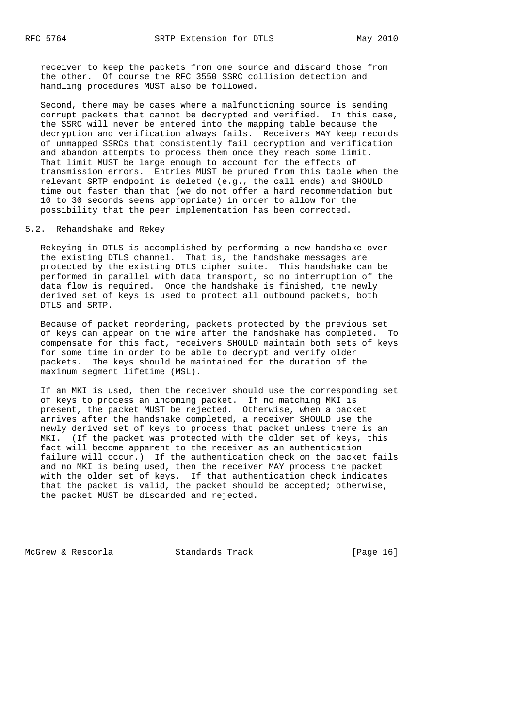receiver to keep the packets from one source and discard those from the other. Of course the RFC 3550 SSRC collision detection and handling procedures MUST also be followed.

 Second, there may be cases where a malfunctioning source is sending corrupt packets that cannot be decrypted and verified. In this case, the SSRC will never be entered into the mapping table because the decryption and verification always fails. Receivers MAY keep records of unmapped SSRCs that consistently fail decryption and verification and abandon attempts to process them once they reach some limit. That limit MUST be large enough to account for the effects of transmission errors. Entries MUST be pruned from this table when the relevant SRTP endpoint is deleted (e.g., the call ends) and SHOULD time out faster than that (we do not offer a hard recommendation but 10 to 30 seconds seems appropriate) in order to allow for the possibility that the peer implementation has been corrected.

#### 5.2. Rehandshake and Rekey

 Rekeying in DTLS is accomplished by performing a new handshake over the existing DTLS channel. That is, the handshake messages are protected by the existing DTLS cipher suite. This handshake can be performed in parallel with data transport, so no interruption of the data flow is required. Once the handshake is finished, the newly derived set of keys is used to protect all outbound packets, both DTLS and SRTP.

 Because of packet reordering, packets protected by the previous set of keys can appear on the wire after the handshake has completed. To compensate for this fact, receivers SHOULD maintain both sets of keys for some time in order to be able to decrypt and verify older packets. The keys should be maintained for the duration of the maximum segment lifetime (MSL).

 If an MKI is used, then the receiver should use the corresponding set of keys to process an incoming packet. If no matching MKI is present, the packet MUST be rejected. Otherwise, when a packet arrives after the handshake completed, a receiver SHOULD use the newly derived set of keys to process that packet unless there is an MKI. (If the packet was protected with the older set of keys, this fact will become apparent to the receiver as an authentication failure will occur.) If the authentication check on the packet fails and no MKI is being used, then the receiver MAY process the packet with the older set of keys. If that authentication check indicates that the packet is valid, the packet should be accepted; otherwise, the packet MUST be discarded and rejected.

McGrew & Rescorla Standards Track [Page 16]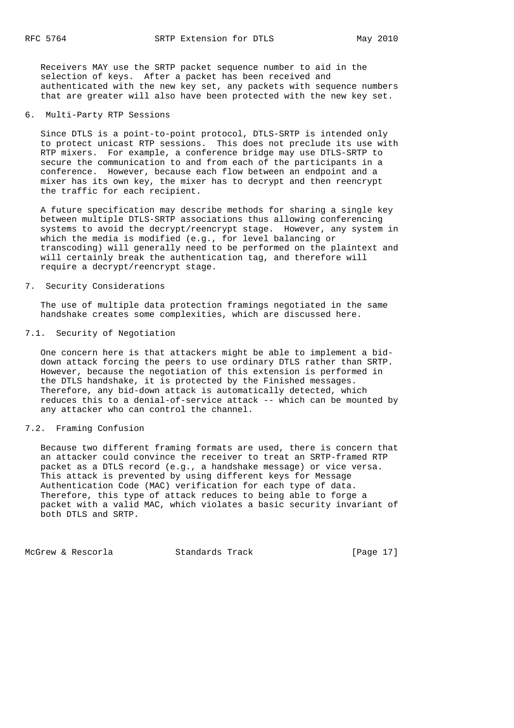Receivers MAY use the SRTP packet sequence number to aid in the selection of keys. After a packet has been received and authenticated with the new key set, any packets with sequence numbers that are greater will also have been protected with the new key set.

## 6. Multi-Party RTP Sessions

 Since DTLS is a point-to-point protocol, DTLS-SRTP is intended only to protect unicast RTP sessions. This does not preclude its use with RTP mixers. For example, a conference bridge may use DTLS-SRTP to secure the communication to and from each of the participants in a conference. However, because each flow between an endpoint and a mixer has its own key, the mixer has to decrypt and then reencrypt the traffic for each recipient.

 A future specification may describe methods for sharing a single key between multiple DTLS-SRTP associations thus allowing conferencing systems to avoid the decrypt/reencrypt stage. However, any system in which the media is modified (e.g., for level balancing or transcoding) will generally need to be performed on the plaintext and will certainly break the authentication tag, and therefore will require a decrypt/reencrypt stage.

## 7. Security Considerations

 The use of multiple data protection framings negotiated in the same handshake creates some complexities, which are discussed here.

## 7.1. Security of Negotiation

 One concern here is that attackers might be able to implement a bid down attack forcing the peers to use ordinary DTLS rather than SRTP. However, because the negotiation of this extension is performed in the DTLS handshake, it is protected by the Finished messages. Therefore, any bid-down attack is automatically detected, which reduces this to a denial-of-service attack -- which can be mounted by any attacker who can control the channel.

## 7.2. Framing Confusion

 Because two different framing formats are used, there is concern that an attacker could convince the receiver to treat an SRTP-framed RTP packet as a DTLS record (e.g., a handshake message) or vice versa. This attack is prevented by using different keys for Message Authentication Code (MAC) verification for each type of data. Therefore, this type of attack reduces to being able to forge a packet with a valid MAC, which violates a basic security invariant of both DTLS and SRTP.

McGrew & Rescorla Standards Track [Page 17]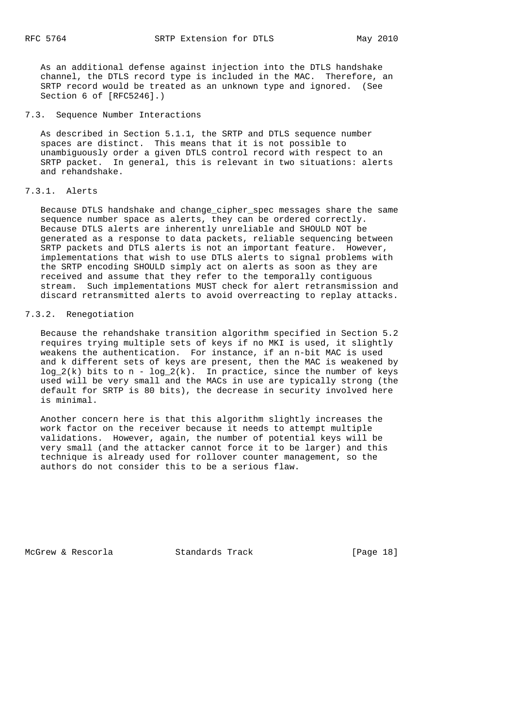As an additional defense against injection into the DTLS handshake channel, the DTLS record type is included in the MAC. Therefore, an SRTP record would be treated as an unknown type and ignored. (See Section 6 of [RFC5246].)

7.3. Sequence Number Interactions

 As described in Section 5.1.1, the SRTP and DTLS sequence number spaces are distinct. This means that it is not possible to unambiguously order a given DTLS control record with respect to an SRTP packet. In general, this is relevant in two situations: alerts and rehandshake.

# 7.3.1. Alerts

 Because DTLS handshake and change\_cipher\_spec messages share the same sequence number space as alerts, they can be ordered correctly. Because DTLS alerts are inherently unreliable and SHOULD NOT be generated as a response to data packets, reliable sequencing between SRTP packets and DTLS alerts is not an important feature. However, implementations that wish to use DTLS alerts to signal problems with the SRTP encoding SHOULD simply act on alerts as soon as they are received and assume that they refer to the temporally contiguous stream. Such implementations MUST check for alert retransmission and discard retransmitted alerts to avoid overreacting to replay attacks.

# 7.3.2. Renegotiation

 Because the rehandshake transition algorithm specified in Section 5.2 requires trying multiple sets of keys if no MKI is used, it slightly weakens the authentication. For instance, if an n-bit MAC is used and k different sets of keys are present, then the MAC is weakened by  $log_2(k)$  bits to n -  $log_2(k)$ . In practice, since the number of keys used will be very small and the MACs in use are typically strong (the default for SRTP is 80 bits), the decrease in security involved here is minimal.

 Another concern here is that this algorithm slightly increases the work factor on the receiver because it needs to attempt multiple validations. However, again, the number of potential keys will be very small (and the attacker cannot force it to be larger) and this technique is already used for rollover counter management, so the authors do not consider this to be a serious flaw.

McGrew & Rescorla Standards Track [Page 18]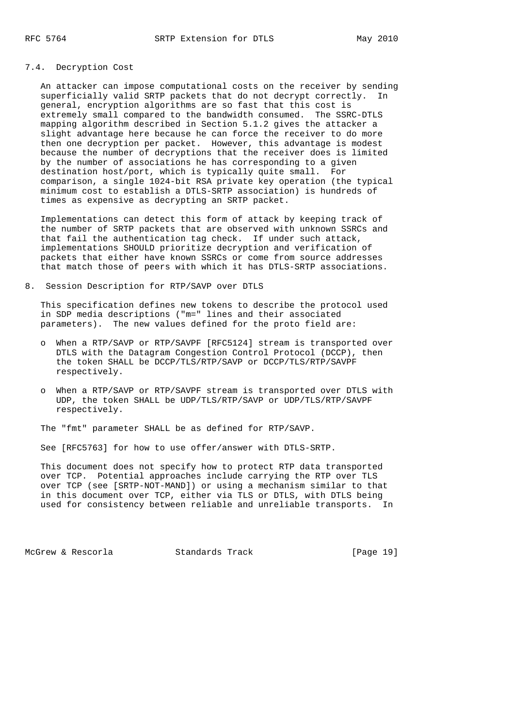# 7.4. Decryption Cost

 An attacker can impose computational costs on the receiver by sending superficially valid SRTP packets that do not decrypt correctly. In general, encryption algorithms are so fast that this cost is extremely small compared to the bandwidth consumed. The SSRC-DTLS mapping algorithm described in Section 5.1.2 gives the attacker a slight advantage here because he can force the receiver to do more then one decryption per packet. However, this advantage is modest because the number of decryptions that the receiver does is limited by the number of associations he has corresponding to a given destination host/port, which is typically quite small. For comparison, a single 1024-bit RSA private key operation (the typical minimum cost to establish a DTLS-SRTP association) is hundreds of times as expensive as decrypting an SRTP packet.

 Implementations can detect this form of attack by keeping track of the number of SRTP packets that are observed with unknown SSRCs and that fail the authentication tag check. If under such attack, implementations SHOULD prioritize decryption and verification of packets that either have known SSRCs or come from source addresses that match those of peers with which it has DTLS-SRTP associations.

#### 8. Session Description for RTP/SAVP over DTLS

 This specification defines new tokens to describe the protocol used in SDP media descriptions ("m=" lines and their associated parameters). The new values defined for the proto field are:

- o When a RTP/SAVP or RTP/SAVPF [RFC5124] stream is transported over DTLS with the Datagram Congestion Control Protocol (DCCP), then the token SHALL be DCCP/TLS/RTP/SAVP or DCCP/TLS/RTP/SAVPF respectively.
- o When a RTP/SAVP or RTP/SAVPF stream is transported over DTLS with UDP, the token SHALL be UDP/TLS/RTP/SAVP or UDP/TLS/RTP/SAVPF respectively.

The "fmt" parameter SHALL be as defined for RTP/SAVP.

See [RFC5763] for how to use offer/answer with DTLS-SRTP.

 This document does not specify how to protect RTP data transported over TCP. Potential approaches include carrying the RTP over TLS over TCP (see [SRTP-NOT-MAND]) or using a mechanism similar to that in this document over TCP, either via TLS or DTLS, with DTLS being used for consistency between reliable and unreliable transports. In

McGrew & Rescorla Standards Track [Page 19]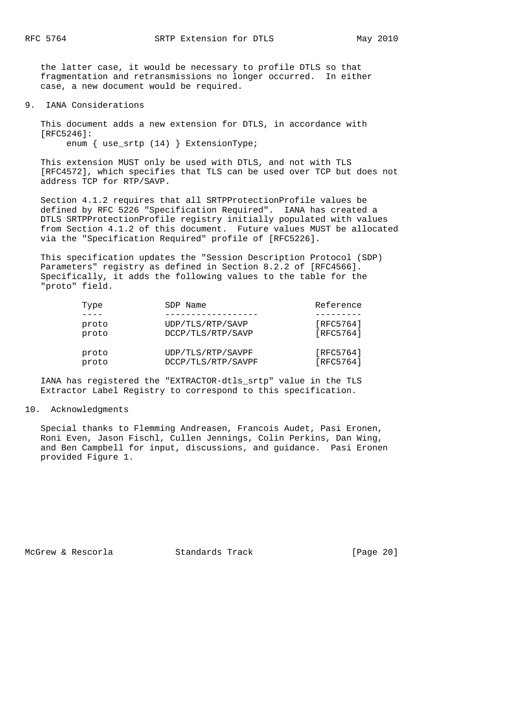the latter case, it would be necessary to profile DTLS so that fragmentation and retransmissions no longer occurred. In either case, a new document would be required.

#### 9. IANA Considerations

 This document adds a new extension for DTLS, in accordance with [RFC5246]: enum { use srtp (14) } ExtensionType;

 This extension MUST only be used with DTLS, and not with TLS [RFC4572], which specifies that TLS can be used over TCP but does not address TCP for RTP/SAVP.

 Section 4.1.2 requires that all SRTPProtectionProfile values be defined by RFC 5226 "Specification Required". IANA has created a DTLS SRTPProtectionProfile registry initially populated with values from Section 4.1.2 of this document. Future values MUST be allocated via the "Specification Required" profile of [RFC5226].

 This specification updates the "Session Description Protocol (SDP) Parameters" registry as defined in Section 8.2.2 of [RFC4566]. Specifically, it adds the following values to the table for the "proto" field.

| Type  | SDP Name           | Reference |
|-------|--------------------|-----------|
|       |                    |           |
| proto | UDP/TLS/RTP/SAVP   | [RFC5764] |
| proto | DCCP/TLS/RTP/SAVP  | [RFC5764] |
| proto | UDP/TLS/RTP/SAVPF  | [RFC5764] |
| proto | DCCP/TLS/RTP/SAVPF | [RFC5764] |

 IANA has registered the "EXTRACTOR-dtls\_srtp" value in the TLS Extractor Label Registry to correspond to this specification.

#### 10. Acknowledgments

 Special thanks to Flemming Andreasen, Francois Audet, Pasi Eronen, Roni Even, Jason Fischl, Cullen Jennings, Colin Perkins, Dan Wing, and Ben Campbell for input, discussions, and guidance. Pasi Eronen provided Figure 1.

McGrew & Rescorla Standards Track [Page 20]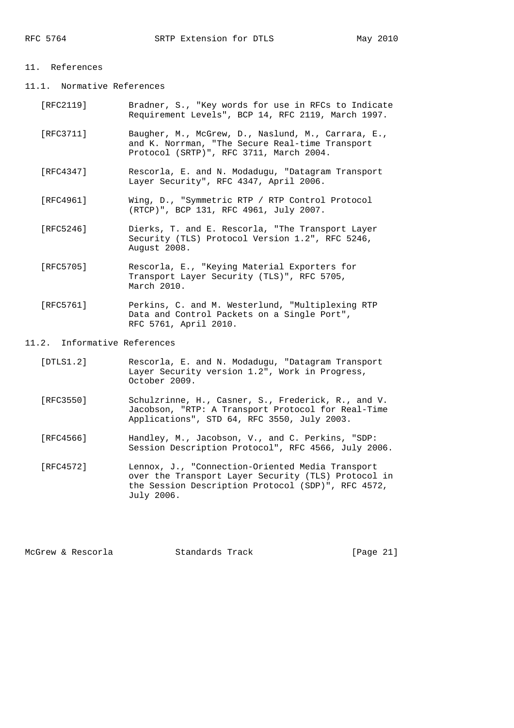## 11. References

11.1. Normative References

| [RFC2119] | Bradner, S., "Key words for use in RFCs to Indicate |  |  |  |  |
|-----------|-----------------------------------------------------|--|--|--|--|
|           | Requirement Levels", BCP 14, RFC 2119, March 1997.  |  |  |  |  |

- [RFC3711] Baugher, M., McGrew, D., Naslund, M., Carrara, E., and K. Norrman, "The Secure Real-time Transport Protocol (SRTP)", RFC 3711, March 2004.
- [RFC4347] Rescorla, E. and N. Modadugu, "Datagram Transport Layer Security", RFC 4347, April 2006.
- [RFC4961] Wing, D., "Symmetric RTP / RTP Control Protocol (RTCP)", BCP 131, RFC 4961, July 2007.
- [RFC5246] Dierks, T. and E. Rescorla, "The Transport Layer Security (TLS) Protocol Version 1.2", RFC 5246, August 2008.
- [RFC5705] Rescorla, E., "Keying Material Exporters for Transport Layer Security (TLS)", RFC 5705, March 2010.
- [RFC5761] Perkins, C. and M. Westerlund, "Multiplexing RTP Data and Control Packets on a Single Port", RFC 5761, April 2010.

#### 11.2. Informative References

- [DTLS1.2] Rescorla, E. and N. Modadugu, "Datagram Transport Layer Security version 1.2", Work in Progress, October 2009.
- [RFC3550] Schulzrinne, H., Casner, S., Frederick, R., and V. Jacobson, "RTP: A Transport Protocol for Real-Time Applications", STD 64, RFC 3550, July 2003.
- [RFC4566] Handley, M., Jacobson, V., and C. Perkins, "SDP: Session Description Protocol", RFC 4566, July 2006.
- [RFC4572] Lennox, J., "Connection-Oriented Media Transport over the Transport Layer Security (TLS) Protocol in the Session Description Protocol (SDP)", RFC 4572, July 2006.

McGrew & Rescorla Standards Track [Page 21]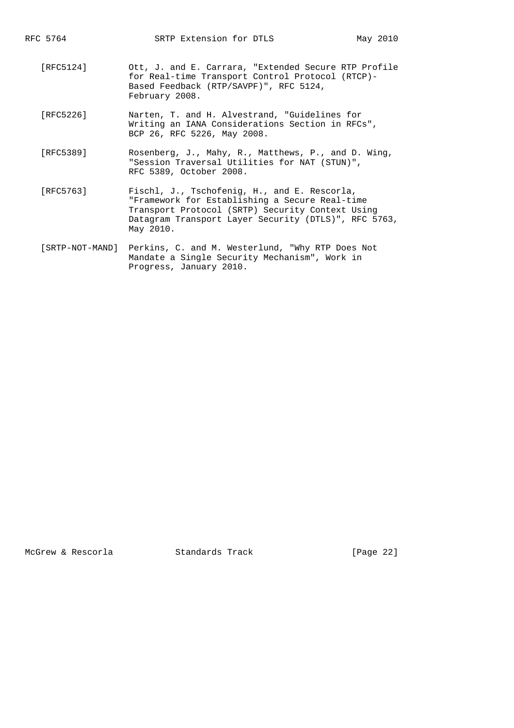- [RFC5124] Ott, J. and E. Carrara, "Extended Secure RTP Profile for Real-time Transport Control Protocol (RTCP)- Based Feedback (RTP/SAVPF)", RFC 5124, February 2008.
- [RFC5226] Narten, T. and H. Alvestrand, "Guidelines for Writing an IANA Considerations Section in RFCs", BCP 26, RFC 5226, May 2008.
- [RFC5389] Rosenberg, J., Mahy, R., Matthews, P., and D. Wing, "Session Traversal Utilities for NAT (STUN)", RFC 5389, October 2008.
- [RFC5763] Fischl, J., Tschofenig, H., and E. Rescorla, "Framework for Establishing a Secure Real-time Transport Protocol (SRTP) Security Context Using Datagram Transport Layer Security (DTLS)", RFC 5763, May 2010.
	- [SRTP-NOT-MAND] Perkins, C. and M. Westerlund, "Why RTP Does Not Mandate a Single Security Mechanism", Work in Progress, January 2010.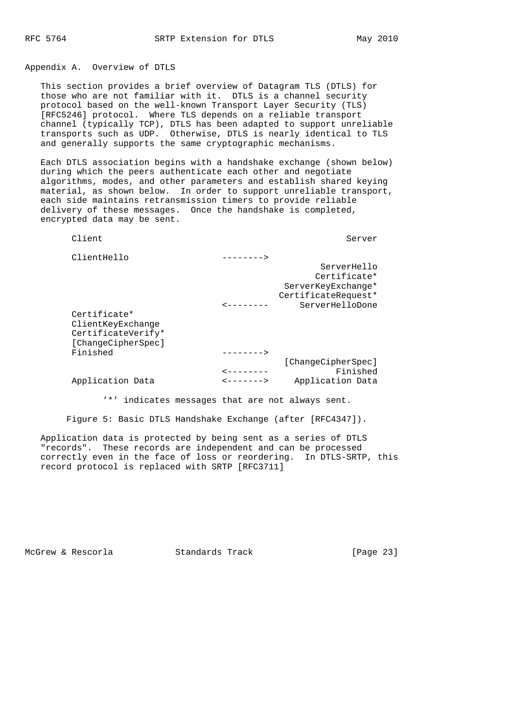Appendix A. Overview of DTLS

 This section provides a brief overview of Datagram TLS (DTLS) for those who are not familiar with it. DTLS is a channel security protocol based on the well-known Transport Layer Security (TLS) [RFC5246] protocol. Where TLS depends on a reliable transport channel (typically TCP), DTLS has been adapted to support unreliable transports such as UDP. Otherwise, DTLS is nearly identical to TLS and generally supports the same cryptographic mechanisms.

 Each DTLS association begins with a handshake exchange (shown below) during which the peers authenticate each other and negotiate algorithms, modes, and other parameters and establish shared keying material, as shown below. In order to support unreliable transport, each side maintains retransmission timers to provide reliable delivery of these messages. Once the handshake is completed, encrypted data may be sent.

Client Server Server Server Server Server Server Server Server Server Server Server Server Server Server Server

|                     | ---------             | ClientHello        |
|---------------------|-----------------------|--------------------|
| ServerHello         |                       |                    |
| Certificate*        |                       |                    |
| ServerKeyExchange*  |                       |                    |
| CertificateRequest* |                       |                    |
| ServerHelloDone     |                       |                    |
|                     |                       | Certificate*       |
|                     |                       | ClientKeyExchange  |
|                     |                       | CertificateVerify* |
|                     |                       | [ChangeCipherSpec] |
|                     |                       | Finished           |
| [ChangeCipherSpec]  |                       |                    |
| Finished            |                       |                    |
| Application Data    | <b>&lt;------&gt;</b> | Application Data   |

'\*' indicates messages that are not always sent.

Figure 5: Basic DTLS Handshake Exchange (after [RFC4347]).

 Application data is protected by being sent as a series of DTLS "records". These records are independent and can be processed correctly even in the face of loss or reordering. In DTLS-SRTP, this record protocol is replaced with SRTP [RFC3711]

McGrew & Rescorla Standards Track [Page 23]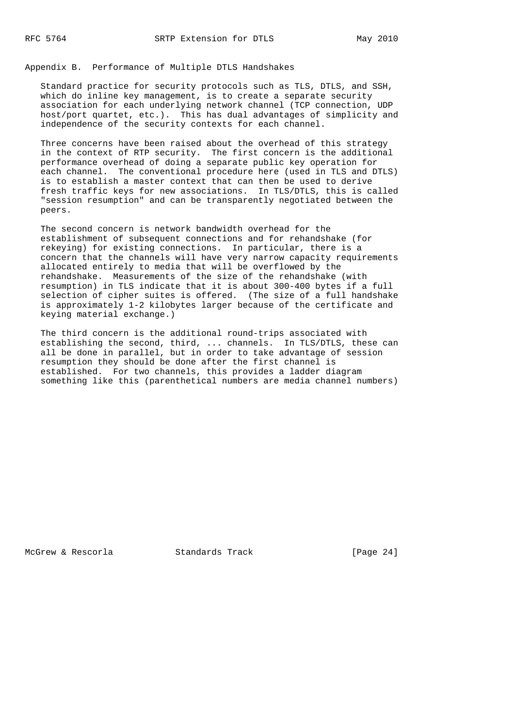Appendix B. Performance of Multiple DTLS Handshakes

 Standard practice for security protocols such as TLS, DTLS, and SSH, which do inline key management, is to create a separate security association for each underlying network channel (TCP connection, UDP host/port quartet, etc.). This has dual advantages of simplicity and independence of the security contexts for each channel.

 Three concerns have been raised about the overhead of this strategy in the context of RTP security. The first concern is the additional performance overhead of doing a separate public key operation for each channel. The conventional procedure here (used in TLS and DTLS) is to establish a master context that can then be used to derive fresh traffic keys for new associations. In TLS/DTLS, this is called "session resumption" and can be transparently negotiated between the peers.

 The second concern is network bandwidth overhead for the establishment of subsequent connections and for rehandshake (for rekeying) for existing connections. In particular, there is a concern that the channels will have very narrow capacity requirements allocated entirely to media that will be overflowed by the rehandshake. Measurements of the size of the rehandshake (with resumption) in TLS indicate that it is about 300-400 bytes if a full selection of cipher suites is offered. (The size of a full handshake is approximately 1-2 kilobytes larger because of the certificate and keying material exchange.)

 The third concern is the additional round-trips associated with establishing the second, third, ... channels. In TLS/DTLS, these can all be done in parallel, but in order to take advantage of session resumption they should be done after the first channel is established. For two channels, this provides a ladder diagram something like this (parenthetical numbers are media channel numbers)

McGrew & Rescorla Standards Track [Page 24]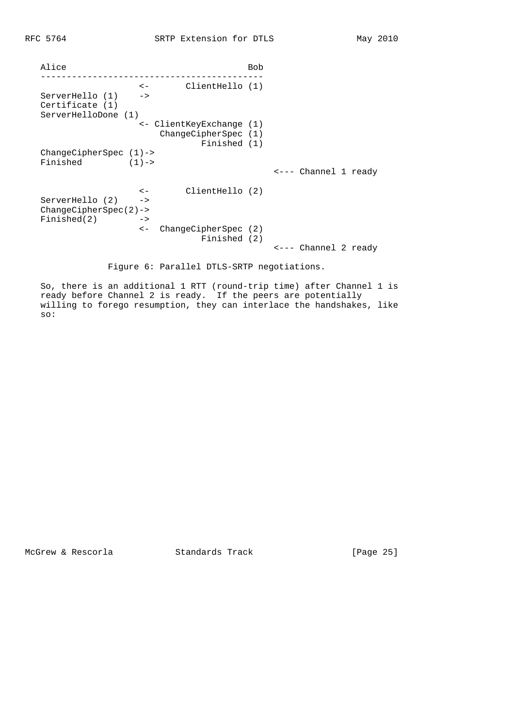|                                        |                            |                                      | Bob |                      |
|----------------------------------------|----------------------------|--------------------------------------|-----|----------------------|
| ServerHello (1)                        | $\lt$ $-$<br>$\rightarrow$ | ClientHello (1)                      |     |                      |
| Certificate (1)<br>ServerHelloDone (1) |                            |                                      |     |                      |
|                                        |                            | <- ClientKeyExchange (1)             |     |                      |
|                                        |                            | ChangeCipherspec (1)                 |     |                      |
|                                        |                            | Finished (1)                         |     |                      |
| $ChangeCipherspec (1) ->$<br>Finished  | $(1)$ ->                   |                                      |     |                      |
|                                        |                            |                                      |     | <--- Channel 1 ready |
|                                        | $\leftarrow$               | ClientHello (2)                      |     |                      |
| ServerHello (2)                        | $\rightarrow$              |                                      |     |                      |
| $ChangeCipherspec(2)$ ->               |                            |                                      |     |                      |
| Finiteed(2)                            | $\rightarrow$              |                                      |     |                      |
|                                        | $\lt$ $-$                  | ChangeCipherSpec (2)<br>Finished (2) |     |                      |
|                                        |                            |                                      |     | <--- Channel 2 ready |

Figure 6: Parallel DTLS-SRTP negotiations.

 So, there is an additional 1 RTT (round-trip time) after Channel 1 is ready before Channel 2 is ready. If the peers are potentially willing to forego resumption, they can interlace the handshakes, like so:

McGrew & Rescorla Standards Track [Page 25]